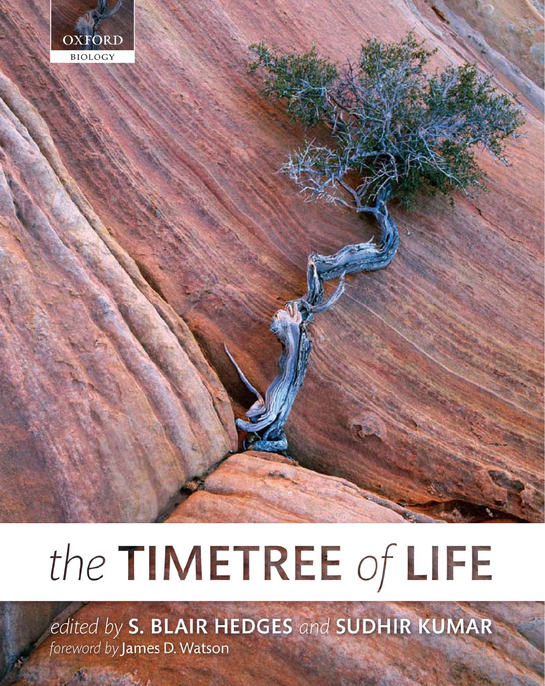

# the TIMETREE of LIFE

edited by S. BLAIR HEDGES and SUDHIR KUMAR foreword by James D. Watson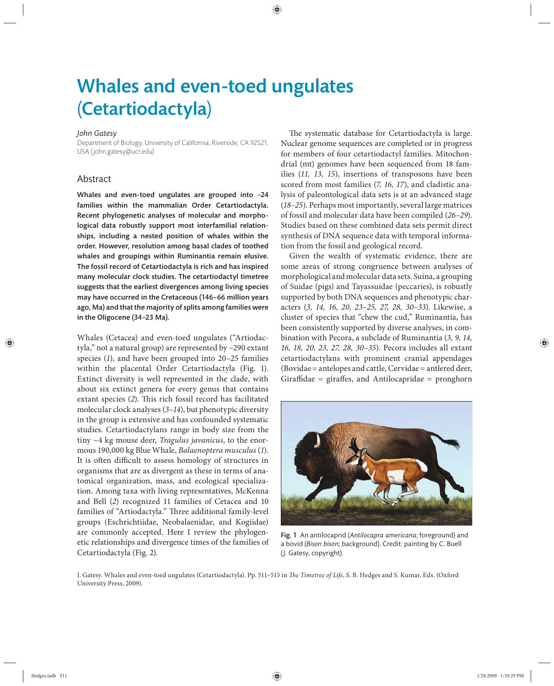## Whales and even-toed ungulates (Cetartiodactyla)

#### *John Gatesy*

Department of Biology, University of California, Riverside, CA 92521, USA (john.gatesy@ucr.edu)

#### Abstract

Whales and even-toed ungulates are grouped into ~24 families within the mammalian Order Cetartiodactyla. Recent phylogenetic analyses of molecular and morphological data robustly support most interfamilial relationships, including a nested position of whales within the order. However, resolution among basal clades of toothed whales and groupings within Ruminantia remain elusive. The fossil record of Cetartiodactyla is rich and has inspired many molecular clock studies. The cetartiodactyl timetree suggests that the earliest divergences among living species may have occurred in the Cretaceous (146–66 million years ago, Ma) and that the majority of splits among families were in the Oligocene (34–23 Ma).

Whales (Cetacea) and even-toed ungulates ("Artiodactyla," not a natural group) are represented by ~290 extant species (*1*), and have been grouped into 20–25 families within the placental Order Cetartiodactyla (Fig. 1). Extinct diversity is well represented in the clade, with about six extinct genera for every genus that contains extant species (2). This rich fossil record has facilitated molecular clock analyses (*3–14*), but phenotypic diversity in the group is extensive and has confounded systematic studies. Cetartiodactylans range in body size from the tiny ~4 kg mouse deer, *Tragulus javanicus*, to the enormous 190,000 kg Blue Whale, *Balaenoptera musculus* (*1*). It is often difficult to assess homology of structures in organisms that are as divergent as these in terms of anatomical organization, mass, and ecological specialization. Among taxa with living representatives, McKenna and Bell (*2*) recognized 11 families of Cetacea and 10 families of "Artiodactyla." Three additional family-level groups (Eschrichtiidae, Neobalaenidae, and Kogiidae) are commonly accepted. Here I review the phylogenetic relationships and divergence times of the families of Cetartiodactyla (Fig. 2).

The systematic database for Cetartiodactyla is large. Nuclear genome sequences are completed or in progress for members of four cetartiodactyl families. Mitochondrial (mt) genomes have been sequenced from 18 families (*11, 13, 15*), insertions of transposons have been scored from most families (*7, 16, 17*), and cladistic analysis of paleontological data sets is at an advanced stage (*18–25*). Perhaps most importantly, several large matrices of fossil and molecular data have been compiled (*26–29*). Studies based on these combined data sets permit direct synthesis of DNA sequence data with temporal information from the fossil and geological record.

Given the wealth of systematic evidence, there are some areas of strong congruence between analyses of morphological and molecular data sets. Suina, a grouping of Suidae (pigs) and Tayassuidae (peccaries), is robustly supported by both DNA sequences and phenotypic characters (*3, 14, 16, 20 , 23–25, 27, 28, 30 –33*). Likewise, a cluster of species that "chew the cud," Ruminantia, has been consistently supported by diverse analyses, in combination with Pecora, a subclade of Ruminantia (*3, 9, 14, 16, 18, 20, 23, 27, 28, 30–35*). Pecora includes all extant cetartiodactylans with prominent cranial appendages (Bovidae = antelopes and cattle, Cervidae = antlered deer, Giraffidae = giraffes, and Antilocapridae = pronghorn



Fig. 1 An antilocaprid (*Antilocapra americana*; foreground) and a bovid (*Bison bison*; background). Credit: painting by C. Buell (J. Gatesy, copyright).

J. Gatesy. Whales and even-toed ungulates (Cetartiodactyla). Pp. 511-515 in *The Timetree of Life*, S. B. Hedges and S. Kumar, Eds. (Oxford University Press, 2009).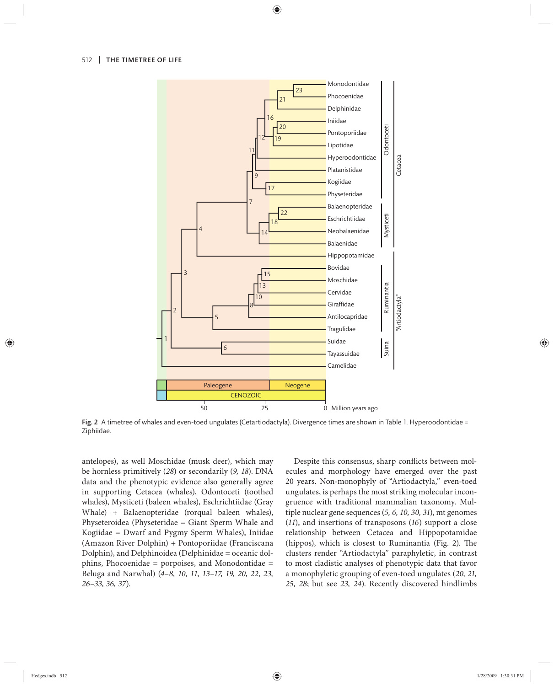

Fig. 2 A timetree of whales and even-toed ungulates (Cetartiodactyla). Divergence times are shown in Table 1. Hyperoodontidae = Ziphiidae.

antelopes), as well Moschidae (musk deer), which may be hornless primitively (*28*) or secondarily (*9, 18*). DNA data and the phenotypic evidence also generally agree in supporting Cetacea (whales), Odontoceti (toothed whales), Mysticeti (baleen whales), Eschrichtiidae (Gray Whale) + Balaenopteridae (rorqual baleen whales), Physeteroidea (Physeteridae = Giant Sperm Whale and Kogiidae = Dwarf and Pygmy Sperm Whales), Iniidae (Amazon River Dolphin) + Pontoporiidae (Franciscana Dolphin), and Delphinoidea (Delphinidae = oceanic dolphins, Phocoenidae = porpoises, and Monodontidae = Beluga and Narwhal) (*4–8, 10, 11, 13–17, 19, 20, 22, 23, 26–33, 36, 37*).

Despite this consensus, sharp conflicts between molecules and morphology have emerged over the past 20 years. Non-monophyly of "Artiodactyla," even-toed ungulates, is perhaps the most striking molecular incongruence with traditional mammalian taxonomy. Multiple nuclear gene sequences (*5, 6, 10, 30, 31*), mt genomes (*11*), and insertions of transposons (*16*) support a close relationship between Cetacea and Hippopotamidae (hippos), which is closest to Ruminantia (Fig. 2). The clusters render "Artiodactyla" paraphyletic, in contrast to most cladistic analyses of phenotypic data that favor a monophyletic grouping of even-toed ungulates (*20, 21, 25, 28*; but see *23, 24*). Recently discovered hindlimbs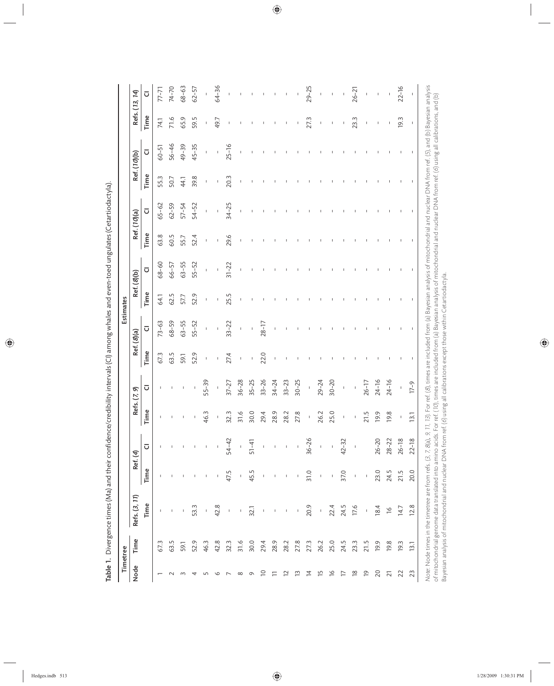|                    | Timetree |                                                                                                                                                                                                                |               |                |                |                |             |                          | Estimates |                          |      |                          |      |                          |                          |                |
|--------------------|----------|----------------------------------------------------------------------------------------------------------------------------------------------------------------------------------------------------------------|---------------|----------------|----------------|----------------|-------------|--------------------------|-----------|--------------------------|------|--------------------------|------|--------------------------|--------------------------|----------------|
| Node               | Time     | Refs. (3, 11)                                                                                                                                                                                                  |               | Ref. (4)       |                | Refs. (7, 9)   | Ref. (8)(a) |                          |           | Ref. (8)(b)              |      | Ref. (10)(a)             |      | Ref. (10)(b)             |                          | Refs. (13, 14) |
|                    |          | Time                                                                                                                                                                                                           | Time          | $\overline{a}$ | Time           | ᠸ              | Time        | Ū                        | Time      | Ū                        | Time | Ū                        | Time | Ū                        | Time                     | ū              |
|                    | 67.3     | $\mathsf I$                                                                                                                                                                                                    | L             |                | T              |                | 67.3        | $73 - 63$                | 64.1      | $68 - 60$                | 63.8 | $65 - 62$                | 55.3 | $60 - 51$                | 74.1                     | $77 - 71$      |
|                    | 63.5     |                                                                                                                                                                                                                |               |                |                |                | 63.5        | $68 - 59$                | 62.5      | 66-57                    | 60.5 | $62 - 59$                | 50.7 | $56 - 46$                | 71.6                     | $74 - 70$      |
| m                  | 59.1     | I                                                                                                                                                                                                              | $\mathsf I$   |                | ı              |                | 59.1        | $63 - 55$                | 57.7      | 63-55                    | 55.7 | $57 - 54$                | 44.1 | $49 - 39$                | 65.9                     | 68-63          |
| 4                  | 52.9     | 53.3                                                                                                                                                                                                           | $\mathsf I$   |                | J.             | J.             | 52.9        | $55 - 52$                | 52.9      | 55-52                    | 52.4 | $54 - 52$                | 39.8 | $45 - 35$                | 59.5                     | $62 - 57$      |
| LN                 | 46.3     | I.                                                                                                                                                                                                             | $\mathbb I$   |                | 46.3           | $55 - 39$      | т           | I                        | I         | I                        | I    | I,                       | т    | I,                       | I                        |                |
| $\circ$            | 42.8     | 42.8                                                                                                                                                                                                           | $\mathsf I$   |                | $\mathsf I$    | $\bar{\rm I}$  | I           | $\overline{1}$           | ı         | $\overline{\phantom{a}}$ | J    | $\overline{\phantom{a}}$ | J    | $\overline{\phantom{a}}$ | 49.7                     | 64-36          |
|                    | 32.3     | $\mathsf I$                                                                                                                                                                                                    | 47.5          | $54 - 42$      | 32.3           | $37 - 27$      | 27.4        | $33 - 22$                | 25.5      | $31 - 22$                | 29.6 | $34 - 25$                | 20.3 | $25 - 16$                |                          |                |
| $\infty$           | 31.6     | I                                                                                                                                                                                                              | $\mathsf I$   | $\mathbf{L}$   | 31.6           | $36 - 28$      | Ţ           | $\mathbf{I}$             | л         | Ţ                        | л    | I,                       | л    | J.                       |                          |                |
| Q                  | 30.0     | 32.1                                                                                                                                                                                                           | 45.5          | $51 - 41$      | 30.0           | $35 - 25$      | J           | $\overline{\phantom{a}}$ |           |                          |      |                          |      |                          |                          |                |
| $\overline{C}$     | 29.4     | $\mathsf I$                                                                                                                                                                                                    | $\mathsf I$   | $\mathsf I$    | 29.4           | $33 - 26$      | 22.0        | $28 - 17$                |           |                          |      |                          |      |                          |                          |                |
| 든                  | 28.9     | $\mathsf I$                                                                                                                                                                                                    | $\mathsf I$   |                | 28.9           | $34 - 24$      | J           | I                        |           |                          |      |                          |      |                          |                          |                |
| $\simeq$           | 28.2     | $\sf I$                                                                                                                                                                                                        | $\mathsf I$   |                | 28.2           | $33 - 23$      |             |                          |           |                          |      |                          |      |                          |                          |                |
| ≌                  | 27.8     | $\mathsf{I}$                                                                                                                                                                                                   | $\mathsf{L}$  |                | 27.8           | $30 - 25$      |             |                          |           |                          |      |                          |      |                          |                          |                |
| ⋣                  | 27.3     | 20.9                                                                                                                                                                                                           | 31.0          | $36 - 26$      | I.             | $\mathbf{I}$   |             |                          |           |                          |      |                          |      |                          | 27.3                     | $29 - 25$      |
| 뜨                  | 26.2     | $\overline{1}$                                                                                                                                                                                                 | $\bar{1}$     | $\mathbb{L}$   | 26.2           | $29 - 24$      |             |                          |           |                          |      |                          |      |                          | $\overline{\phantom{a}}$ | $\mathsf I$    |
| $\overline{\circ}$ | 25.0     | 22.4                                                                                                                                                                                                           | $\bar{\rm I}$ |                | 25.0           | $30 - 20$      |             |                          |           |                          |      |                          |      |                          | J.                       |                |
| ⊵                  | 24.5     | 24.5                                                                                                                                                                                                           | 37.0          | $42 - 32$      | I.             | Ţ              |             |                          |           |                          |      |                          |      |                          | J.                       |                |
| $\frac{8}{1}$      | 23.3     | 17.6                                                                                                                                                                                                           | $\mathbf{I}$  |                |                | $\mathbf{I}$   |             |                          |           |                          |      |                          |      |                          | 23.3                     | $26 - 21$      |
| $\overline{0}$     | 21.5     | f,                                                                                                                                                                                                             | $\bar{\rm I}$ |                | 21.5           | $26 - 17$      |             |                          |           |                          |      |                          |      |                          | J.                       |                |
| 20                 | 19.9     | 18.4                                                                                                                                                                                                           | 23.0          | $26 - 20$      | 19.9           | $24 - 16$      |             |                          |           |                          |      |                          |      |                          | п                        |                |
| $\overline{2}1$    | 19.8     | $\frac{9}{1}$                                                                                                                                                                                                  | 24.5          | $28 - 22$      | 19.8           | $24 - 16$      |             |                          |           |                          |      |                          |      |                          |                          |                |
| 22                 | 19.3     | 14.7                                                                                                                                                                                                           | 21.5          | $26 - 18$      | J              | $\overline{1}$ |             |                          |           |                          |      |                          |      |                          | 19.3                     | $22 - 16$      |
| 23                 | 13.1     | 12.8                                                                                                                                                                                                           | 20.0          | $22 - 18$      | $\overline{3}$ | $17-9$         |             | T                        |           | T                        | T    | T                        | T    | т                        | 1                        | t              |
|                    |          | Note: Node times in the timetree are from refs. (3, 7, 8(a), 9, 17, 13). For ref. (8), times are included from (a) Bayesian analysis of mitochondrial and nuclear DNA from ref. (5), and (b) Bayesian analysis |               |                |                |                |             |                          |           |                          |      |                          |      |                          |                          |                |

Table 1. Divergence times (Ma) and their confidence/credibility intervals (CI) among whales and even-toed ungulates (Cetartiodactyla). Table 1. Divergence times (Ma) and their confidence/credibility intervals (CI) among whales and even-toed ungulates (Cetartiodactyla).

of mitochondrial genome data translated into amino acids. For ref. (10), times are included from (a) Bayesian analysis of mitochondrial and nuclear DNA from ref. (6) using all calibrations, and (b)<br>Bayesian analysis of mit of mitochondrial genome data translated into amino acids. For ref. (10), times are included from (a) Bayesian analysis of mitochondrial and nuclear DNA from ref. (6) using all calibrations, and (b) Bayesian analysis of mitochondrial and nuclear DNA from ref. (6) using all calibrations except those within Cetartiodactyla.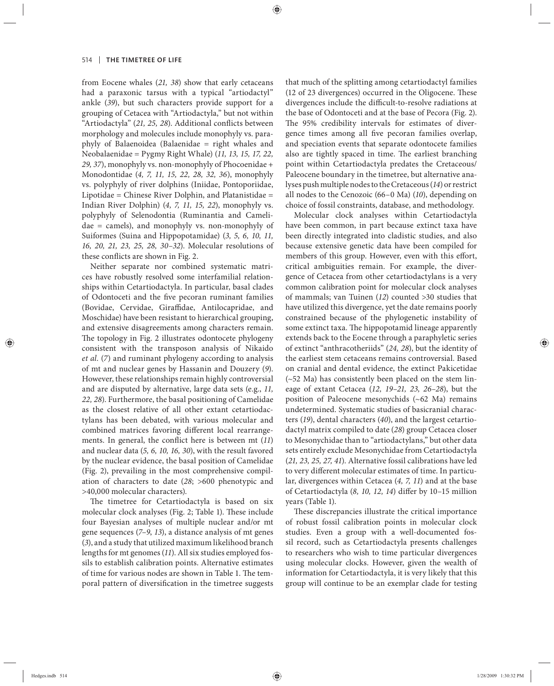from Eocene whales (*21, 38*) show that early cetaceans had a paraxonic tarsus with a typical "artiodactyl" ankle (*39*), but such characters provide support for a grouping of Cetacea with "Artiodactyla," but not within "Artiodactyla" (21, 25, 28). Additional conflicts between morphology and molecules include monophyly vs. paraphyly of Balaenoidea (Balaenidae = right whales and Neobalaenidae = Pygmy Right Whale) (*11, 13, 15, 17, 22, 29, 37*), monophyly vs. non-monophyly of Phocoenidae + Monodontidae (*4, 7, 11, 15, 22, 28, 32, 36*), monophyly vs. polyphyly of river dolphins (Iniidae, Pontoporiidae, Lipotidae = Chinese River Dolphin, and Platanistidae = Indian River Dolphin) (*4, 7, 11, 15, 22*), monophyly vs. polyphyly of Selenodontia (Ruminantia and Camelidae = camels), and monophyly vs. non-monophyly of Suiformes (Suina and Hippopotamidae) (*3, 5, 6, 10, 11, 16, 20, 21, 23, 25, 28, 30–32*). Molecular resolutions of these conflicts are shown in Fig. 2.

Neither separate nor combined systematic matrices have robustly resolved some interfamilial relationships within Cetartiodactyla. In particular, basal clades of Odontoceti and the five pecoran ruminant families (Bovidae, Cervidae, Giraffidae, Antilocapridae, and Moschidae) have been resistant to hierarchical grouping, and extensive disagreements among characters remain. The topology in Fig. 2 illustrates odontocete phylogeny consistent with the transposon analysis of Nikaido *et al.* (*7*) and ruminant phylogeny according to analysis of mt and nuclear genes by Hassanin and Douzery (*9*). However, these relationships remain highly controversial and are disputed by alternative, large data sets (e.g., *11, 22, 28*). Furthermore, the basal positioning of Camelidae as the closest relative of all other extant cetartiodactylans has been debated, with various molecular and combined matrices favoring different local rearrangements. In general, the conflict here is between mt (11) and nuclear data (*5, 6, 10, 16, 30*), with the result favored by the nuclear evidence, the basal position of Camelidae (Fig. 2), prevailing in the most comprehensive compilation of characters to date (*28*; >600 phenotypic and >40,000 molecular characters).

The timetree for Cetartiodactyla is based on six molecular clock analyses (Fig. 2; Table 1). These include four Bayesian analyses of multiple nuclear and/or mt gene sequences (*7*–*9*, *13*), a distance analysis of mt genes (*3*), and a study that utilized maximum likelihood branch lengths for mt genomes (*11*). All six studies employed fossils to establish calibration points. Alternative estimates of time for various nodes are shown in Table 1. The temporal pattern of diversification in the timetree suggests

that much of the splitting among cetartiodactyl families (12 of 23 divergences) occurred in the Oligocene. These divergences include the difficult-to-resolve radiations at the base of Odontoceti and at the base of Pecora (Fig. 2). The 95% credibility intervals for estimates of divergence times among all five pecoran families overlap, and speciation events that separate odontocete families also are tightly spaced in time. The earliest branching point within Cetartiodactyla predates the Cretaceous/ Paleocene boundary in the timetree, but alternative analyses push multiple nodes to the Cretaceous (*14*) or restrict all nodes to the Cenozoic (66–0 Ma) (*10*), depending on choice of fossil constraints, database, and methodology.

Molecular clock analyses within Cetartiodactyla have been common, in part because extinct taxa have been directly integrated into cladistic studies, and also because extensive genetic data have been compiled for members of this group. However, even with this effort, critical ambiguities remain. For example, the divergence of Cetacea from other cetartiodactylans is a very common calibration point for molecular clock analyses of mammals; van Tuinen (*12*) counted >30 studies that have utilized this divergence, yet the date remains poorly constrained because of the phylogenetic instability of some extinct taxa. The hippopotamid lineage apparently extends back to the Eocene through a paraphyletic series of extinct "anthracotheriids" (*24, 28*), but the identity of the earliest stem cetaceans remains controversial. Based on cranial and dental evidence, the extinct Pakicetidae (~52 Ma) has consistently been placed on the stem lineage of extant Cetacea (*12, 19–21, 23, 26–28*), but the position of Paleocene mesonychids (~62 Ma) remains undetermined. Systematic studies of basicranial characters (*19*), dental characters (*40*), and the largest cetartiodactyl matrix compiled to date (*28*) group Cetacea closer to Mesonychidae than to "artiodactylans," but other data sets entirely exclude Mesonychidae from Cetartiodactyla (*21, 23, 25, 27, 41*). Alternative fossil calibrations have led to very different molecular estimates of time. In particular, divergences within Cetacea (*4, 7, 11*) and at the base of Cetartiodactyla (8, 10, 12, 14) differ by 10-15 million years (Table 1).

These discrepancies illustrate the critical importance of robust fossil calibration points in molecular clock studies. Even a group with a well-documented fossil record, such as Cetartiodactyla presents challenges to researchers who wish to time particular divergences using molecular clocks. However, given the wealth of information for Cetartiodactyla, it is very likely that this group will continue to be an exemplar clade for testing